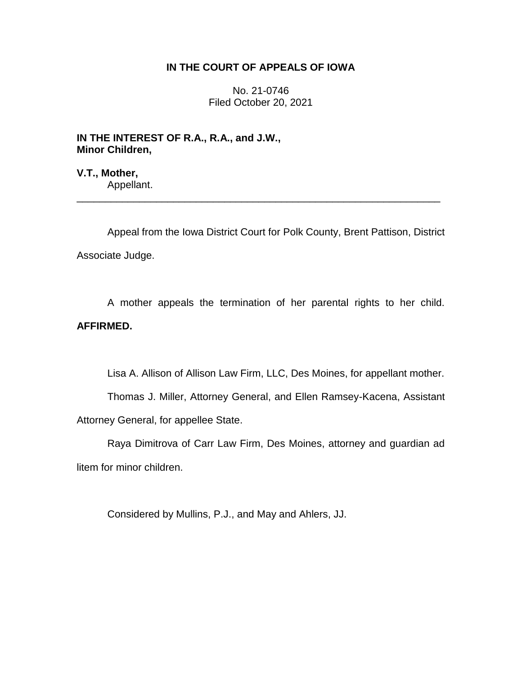## **IN THE COURT OF APPEALS OF IOWA**

No. 21-0746 Filed October 20, 2021

**IN THE INTEREST OF R.A., R.A., and J.W., Minor Children,**

**V.T., Mother,** Appellant.

Appeal from the Iowa District Court for Polk County, Brent Pattison, District Associate Judge.

\_\_\_\_\_\_\_\_\_\_\_\_\_\_\_\_\_\_\_\_\_\_\_\_\_\_\_\_\_\_\_\_\_\_\_\_\_\_\_\_\_\_\_\_\_\_\_\_\_\_\_\_\_\_\_\_\_\_\_\_\_\_\_\_

A mother appeals the termination of her parental rights to her child. **AFFIRMED.**

Lisa A. Allison of Allison Law Firm, LLC, Des Moines, for appellant mother.

Thomas J. Miller, Attorney General, and Ellen Ramsey-Kacena, Assistant Attorney General, for appellee State.

Raya Dimitrova of Carr Law Firm, Des Moines, attorney and guardian ad litem for minor children.

Considered by Mullins, P.J., and May and Ahlers, JJ.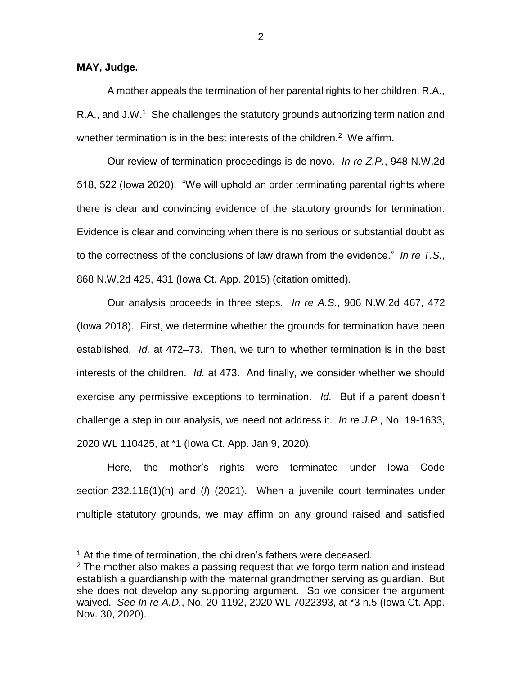## **MAY, Judge.**

 $\overline{a}$ 

A mother appeals the termination of her parental rights to her children, R.A., R.A., and J.W.<sup>1</sup> She challenges the statutory grounds authorizing termination and whether termination is in the best interests of the children.<sup>2</sup> We affirm.

Our review of termination proceedings is de novo. *In re Z.P.*, 948 N.W.2d 518, 522 (Iowa 2020). "We will uphold an order terminating parental rights where there is clear and convincing evidence of the statutory grounds for termination. Evidence is clear and convincing when there is no serious or substantial doubt as to the correctness of the conclusions of law drawn from the evidence." *In re T.S.*, 868 N.W.2d 425, 431 (Iowa Ct. App. 2015) (citation omitted).

Our analysis proceeds in three steps. *In re A.S.*, 906 N.W.2d 467, 472 (Iowa 2018). First, we determine whether the grounds for termination have been established. *Id.* at 472–73. Then, we turn to whether termination is in the best interests of the children. *Id.* at 473. And finally, we consider whether we should exercise any permissive exceptions to termination. *Id.* But if a parent doesn't challenge a step in our analysis, we need not address it. *In re J.P.*, No. 19-1633, 2020 WL 110425, at \*1 (Iowa Ct. App. Jan 9, 2020).

Here, the mother's rights were terminated under Iowa Code section 232.116(1)(h) and (*l*) (2021). When a juvenile court terminates under multiple statutory grounds, we may affirm on any ground raised and satisfied

 $<sup>1</sup>$  At the time of termination, the children's fathers were deceased.</sup>

 $2$  The mother also makes a passing request that we forgo termination and instead establish a guardianship with the maternal grandmother serving as guardian. But she does not develop any supporting argument. So we consider the argument waived. *See In re A.D.*, No. 20-1192, 2020 WL 7022393, at \*3 n.5 (Iowa Ct. App. Nov. 30, 2020).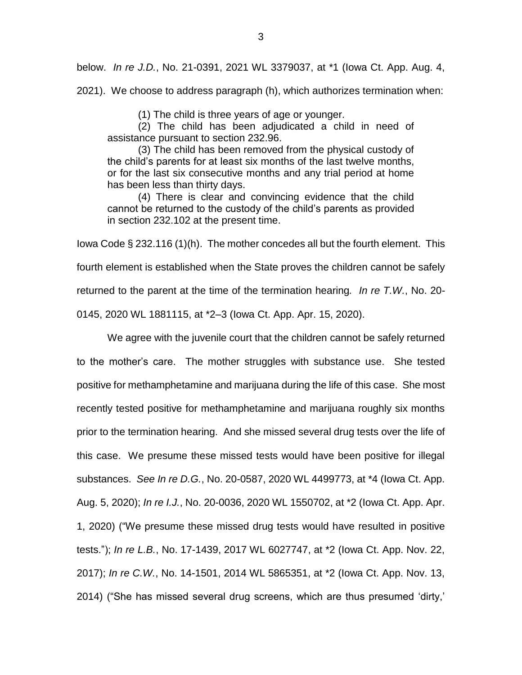below. *In re J.D.*, No. 21-0391, 2021 WL 3379037, at \*1 (Iowa Ct. App. Aug. 4,

2021). We choose to address paragraph (h), which authorizes termination when:

(1) The child is three years of age or younger.

(2) The child has been adjudicated a child in need of assistance pursuant to section 232.96.

(3) The child has been removed from the physical custody of the child's parents for at least six months of the last twelve months, or for the last six consecutive months and any trial period at home has been less than thirty days.

(4) There is clear and convincing evidence that the child cannot be returned to the custody of the child's parents as provided in section 232.102 at the present time.

Iowa Code § 232.116 (1)(h). The mother concedes all but the fourth element. This fourth element is established when the State proves the children cannot be safely returned to the parent at the time of the termination hearing*. In re T.W.*, No. 20- 0145, 2020 WL 1881115, at \*2–3 (Iowa Ct. App. Apr. 15, 2020).

We agree with the juvenile court that the children cannot be safely returned to the mother's care. The mother struggles with substance use. She tested positive for methamphetamine and marijuana during the life of this case. She most recently tested positive for methamphetamine and marijuana roughly six months prior to the termination hearing. And she missed several drug tests over the life of this case. We presume these missed tests would have been positive for illegal substances. *See In re D.G.*, No. 20-0587, 2020 WL 4499773, at \*4 (Iowa Ct. App. Aug. 5, 2020); *In re I.J.*, No. 20-0036, 2020 WL 1550702, at \*2 (Iowa Ct. App. Apr. 1, 2020) ("We presume these missed drug tests would have resulted in positive tests."); *In re L.B.*, No. 17-1439, 2017 WL 6027747, at \*2 (Iowa Ct. App. Nov. 22, 2017); *In re C.W.*, No. 14-1501, 2014 WL 5865351, at \*2 (Iowa Ct. App. Nov. 13, 2014) ("She has missed several drug screens, which are thus presumed 'dirty,'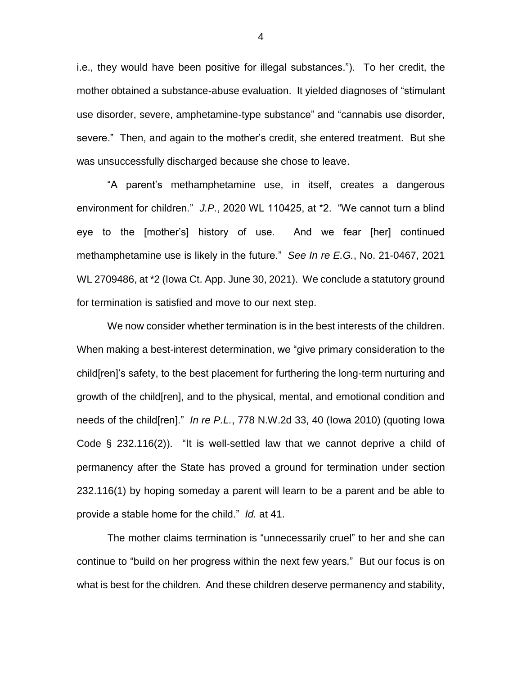i.e., they would have been positive for illegal substances."). To her credit, the mother obtained a substance-abuse evaluation. It yielded diagnoses of "stimulant use disorder, severe, amphetamine-type substance" and "cannabis use disorder, severe." Then, and again to the mother's credit, she entered treatment. But she was unsuccessfully discharged because she chose to leave.

"A parent's methamphetamine use, in itself, creates a dangerous environment for children." *J.P.*, 2020 WL 110425, at \*2. "We cannot turn a blind eye to the [mother's] history of use. And we fear [her] continued methamphetamine use is likely in the future." *See In re E.G.*, No. 21-0467, 2021 WL 2709486, at \*2 (Iowa Ct. App. June 30, 2021). We conclude a statutory ground for termination is satisfied and move to our next step.

We now consider whether termination is in the best interests of the children. When making a best-interest determination, we "give primary consideration to the child[ren]'s safety, to the best placement for furthering the long-term nurturing and growth of the child[ren], and to the physical, mental, and emotional condition and needs of the child[ren]." *In re P.L.*, 778 N.W.2d 33, 40 (Iowa 2010) (quoting Iowa Code  $\S$  232.116(2)). "It is well-settled law that we cannot deprive a child of permanency after the State has proved a ground for termination under section 232.116(1) by hoping someday a parent will learn to be a parent and be able to provide a stable home for the child." *Id.* at 41.

The mother claims termination is "unnecessarily cruel" to her and she can continue to "build on her progress within the next few years." But our focus is on what is best for the children. And these children deserve permanency and stability,

4